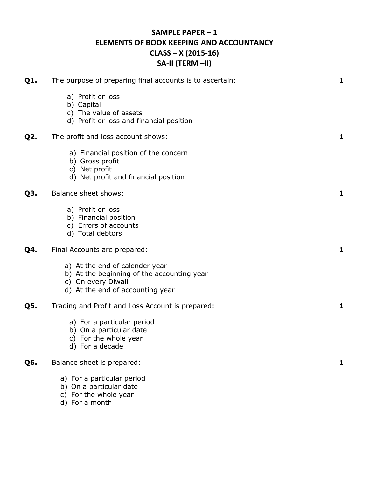## **SAMPLE PAPER – 1 ELEMENTS OF BOOK KEEPING AND ACCOUNTANCY CLASS – X (2015-16) SA-II (TERM –II)**

| Q1.              | The purpose of preparing final accounts is to ascertain:                                                                               | 1            |
|------------------|----------------------------------------------------------------------------------------------------------------------------------------|--------------|
|                  | a) Profit or loss<br>b) Capital<br>c) The value of assets<br>d) Profit or loss and financial position                                  |              |
| Q <sub>2</sub> . | The profit and loss account shows:                                                                                                     | 1            |
|                  | a) Financial position of the concern<br>b) Gross profit<br>c) Net profit<br>d) Net profit and financial position                       |              |
| Q3.              | <b>Balance sheet shows:</b>                                                                                                            | $\mathbf{1}$ |
|                  | a) Profit or loss<br>b) Financial position<br>c) Errors of accounts<br>d) Total debtors                                                |              |
| Q4.              | Final Accounts are prepared:                                                                                                           | 1            |
|                  | a) At the end of calender year<br>b) At the beginning of the accounting year<br>c) On every Diwali<br>d) At the end of accounting year |              |
| Q5.              | Trading and Profit and Loss Account is prepared:                                                                                       | 1            |
|                  | a) For a particular period<br>b) On a particular date<br>c) For the whole year<br>d) For a decade                                      |              |
| Q6.              | Balance sheet is prepared:                                                                                                             | $\mathbf{1}$ |
|                  | a) For a particular period<br>b) On a particular date                                                                                  |              |

- c) For the whole year
- d) For a month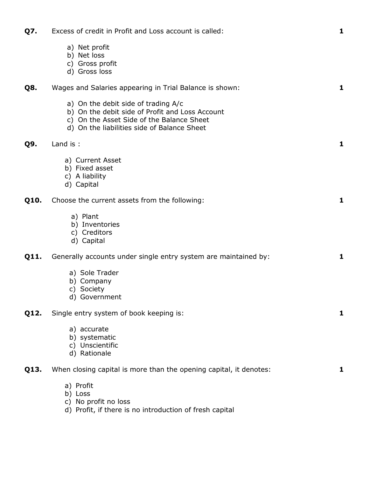| Q7.  | Excess of credit in Profit and Loss account is called:                                                                                                                             | 1 |
|------|------------------------------------------------------------------------------------------------------------------------------------------------------------------------------------|---|
|      | a) Net profit<br>b) Net loss<br>c) Gross profit<br>d) Gross loss                                                                                                                   |   |
| Q8.  | Wages and Salaries appearing in Trial Balance is shown:                                                                                                                            | 1 |
|      | a) On the debit side of trading A/c<br>b) On the debit side of Profit and Loss Account<br>c) On the Asset Side of the Balance Sheet<br>d) On the liabilities side of Balance Sheet |   |
| Q9.  | Land is :                                                                                                                                                                          | 1 |
|      | a) Current Asset<br>b) Fixed asset<br>c) A liability<br>d) Capital                                                                                                                 |   |
| Q10. | Choose the current assets from the following:                                                                                                                                      | 1 |
|      | a) Plant<br>b) Inventories<br>c) Creditors<br>d) Capital                                                                                                                           |   |
| Q11. | Generally accounts under single entry system are maintained by:                                                                                                                    | 1 |
|      | a) Sole Trader<br>b) Company<br>c) Society<br>d) Government                                                                                                                        |   |
| Q12. | Single entry system of book keeping is:                                                                                                                                            | 1 |
|      | a) accurate<br>b) systematic<br>c) Unscientific<br>d) Rationale                                                                                                                    |   |
| Q13. | When closing capital is more than the opening capital, it denotes:                                                                                                                 | 1 |
|      | a) Profit<br>b) Loss<br>c) No profit no loss<br>d) Profit, if there is no introduction of fresh capital                                                                            |   |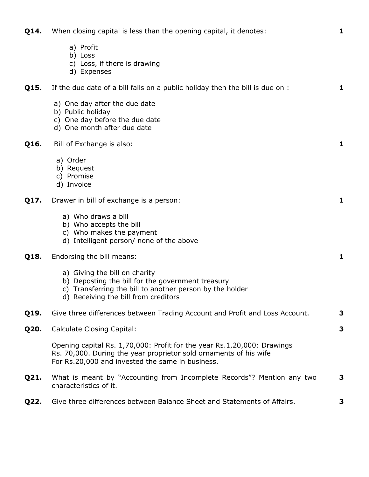| Q14. | When closing capital is less than the opening capital, it denotes:                                                                                                                                | 1 |
|------|---------------------------------------------------------------------------------------------------------------------------------------------------------------------------------------------------|---|
|      | a) Profit<br>b) Loss<br>c) Loss, if there is drawing<br>d) Expenses                                                                                                                               |   |
| Q15. | If the due date of a bill falls on a public holiday then the bill is due on :                                                                                                                     | 1 |
|      | a) One day after the due date<br>b) Public holiday<br>c) One day before the due date<br>d) One month after due date                                                                               |   |
| Q16. | Bill of Exchange is also:                                                                                                                                                                         | 1 |
|      | a) Order<br>b) Request<br>c) Promise<br>d) Invoice                                                                                                                                                |   |
| Q17. | Drawer in bill of exchange is a person:                                                                                                                                                           | 1 |
|      | a) Who draws a bill<br>b) Who accepts the bill<br>c) Who makes the payment<br>d) Intelligent person/ none of the above                                                                            |   |
| Q18. | Endorsing the bill means:                                                                                                                                                                         | 1 |
|      | a) Giving the bill on charity<br>b) Deposting the bill for the government treasury<br>c) Transferring the bill to another person by the holder<br>d) Receiving the bill from creditors            |   |
| Q19. | Give three differences between Trading Account and Profit and Loss Account.                                                                                                                       | 3 |
| Q20. | <b>Calculate Closing Capital:</b>                                                                                                                                                                 | 3 |
|      | Opening capital Rs. 1,70,000: Profit for the year Rs. 1,20,000: Drawings<br>Rs. 70,000. During the year proprietor sold ornaments of his wife<br>For Rs.20,000 and invested the same in business. |   |
| Q21. | What is meant by "Accounting from Incomplete Records"? Mention any two<br>characteristics of it.                                                                                                  | 3 |
| Q22. | Give three differences between Balance Sheet and Statements of Affairs.                                                                                                                           | 3 |
|      |                                                                                                                                                                                                   |   |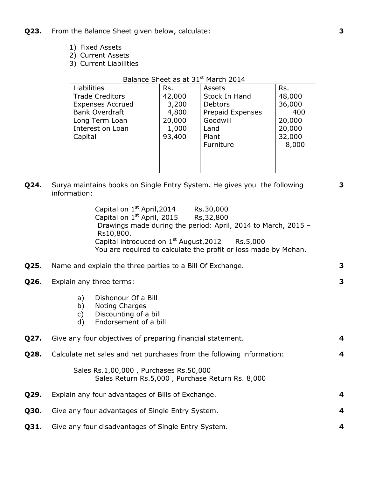- **Q23.** From the Balance Sheet given below, calculate:
	- 1) Fixed Assets
	- 2) Current Assets
	- 3) Current Liabilities

| Duidhce Dricet us ut S± |        |                  |        |
|-------------------------|--------|------------------|--------|
| Liabilities             | Rs.    | Assets           | Rs.    |
| <b>Trade Creditors</b>  | 42,000 | Stock In Hand    | 48,000 |
| <b>Expenses Accrued</b> | 3,200  | <b>Debtors</b>   | 36,000 |
| <b>Bank Overdraft</b>   | 4,800  | Prepaid Expenses | 400    |
| Long Term Loan          | 20,000 | Goodwill         | 20,000 |
| Interest on Loan        | 1,000  | Land             | 20,000 |
| Capital                 | 93,400 | Plant            | 32,000 |
|                         |        | Furniture        | 8,000  |
|                         |        |                  |        |
|                         |        |                  |        |
|                         |        |                  |        |

#### Balance Sheet as at 31st March 2014

**Q24.** Surya maintains books on Single Entry System. He gives you the following information:

**3**

**3**

Capital on  $1<sup>st</sup>$  April, 2014 Rs.30,000 Capital on  $1<sup>st</sup>$  April, 2015 Rs, 32, 800 Drawings made during the period: April, 2014 to March, 2015 – Rs10,800. Capital introduced on  $1^{st}$  August, 2012 Rs.5,000 You are required to calculate the profit or loss made by Mohan.

### **Q25.** Name and explain the three parties to a Bill Of Exchange. **3**

- **Q26.** Explain any three terms:
	- a) Dishonour Of a Bill
	- b) Noting Charges
	- c) Discounting of a bill
	- d) Endorsement of a bill

| Q27.        | Give any four objectives of preparing financial statement.                                 | 4 |
|-------------|--------------------------------------------------------------------------------------------|---|
| <b>Q28.</b> | Calculate net sales and net purchases from the following information:                      | 4 |
|             | Sales Rs.1,00,000, Purchases Rs.50,000<br>Sales Return Rs.5,000, Purchase Return Rs. 8,000 |   |
| Q29.        | Explain any four advantages of Bills of Exchange.                                          | 4 |
| <b>Q30.</b> | Give any four advantages of Single Entry System.                                           | 4 |
|             |                                                                                            |   |

**Q31.** Give any four disadvantages of Single Entry System. **4**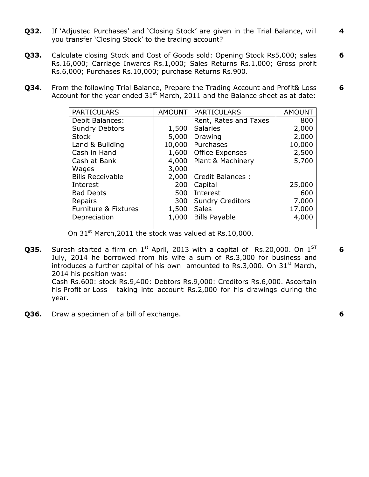- **Q32.** If 'Adjusted Purchases' and 'Closing Stock' are given in the Trial Balance, will you transfer 'Closing Stock' to the trading account?
- **Q33.** Calculate closing Stock and Cost of Goods sold: Opening Stock Rs5,000; sales Rs.16,000; Carriage Inwards Rs.1,000; Sales Returns Rs.1,000; Gross profit Rs.6,000; Purchases Rs.10,000; purchase Returns Rs.900. **6**
- **Q34.** From the following Trial Balance, Prepare the Trading Account and Profit& Loss Account for the year ended  $31^{st}$  March, 2011 and the Balance sheet as at date: **6**

| <b>PARTICULARS</b>      | <b>AMOUNT</b> | <b>PARTICULARS</b>      | <b>AMOUNT</b> |
|-------------------------|---------------|-------------------------|---------------|
| <b>Debit Balances:</b>  |               | Rent, Rates and Taxes   | 800           |
| <b>Sundry Debtors</b>   | 1,500         | <b>Salaries</b>         | 2,000         |
| <b>Stock</b>            | 5,000         | Drawing                 | 2,000         |
| Land & Building         | 10,000        | Purchases               | 10,000        |
| Cash in Hand            | 1,600         | <b>Office Expenses</b>  | 2,500         |
| Cash at Bank            | 4,000         | Plant & Machinery       | 5,700         |
| Wages                   | 3,000         |                         |               |
| <b>Bills Receivable</b> | 2,000         | <b>Credit Balances:</b> |               |
| Interest                | 200           | Capital                 | 25,000        |
| <b>Bad Debts</b>        | 500           | Interest                | 600           |
| Repairs                 | 300           | <b>Sundry Creditors</b> | 7,000         |
| Furniture & Fixtures    | 1,500         | <b>Sales</b>            | 17,000        |
| Depreciation            | 1,000         | <b>Bills Payable</b>    | 4,000         |
|                         |               |                         |               |

On 31<sup>st</sup> March, 2011 the stock was valued at Rs. 10,000.

**Q35.** Suresh started a firm on  $1<sup>st</sup>$  April, 2013 with a capital of Rs.20,000. On  $1<sup>ST</sup>$ July, 2014 he borrowed from his wife a sum of Rs.3,000 for business and introduces a further capital of his own amounted to Rs.3,000. On  $31<sup>st</sup>$  March, 2014 his position was: Cash Rs.600: stock Rs.9,400: Debtors Rs.9,000: Creditors Rs.6,000. Ascertain

his Profit or Loss taking into account Rs.2,000 for his drawings during the year.

**Q36.** Draw a specimen of a bill of exchange. **6**

**6**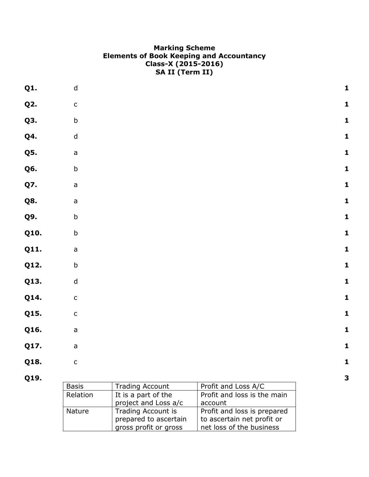## **Marking Scheme Elements of Book Keeping and Accountancy Class-X (2015-2016) SA II (Term II)**

| Q1.        | $\sf d$       |                        |                             | $\mathbf{1}$ |
|------------|---------------|------------------------|-----------------------------|--------------|
| <b>Q2.</b> | $\mathsf{C}$  |                        |                             | $\mathbf 1$  |
| Q3.        | $\sf b$       |                        |                             | $\mathbf{1}$ |
| <b>Q4.</b> | $\sf d$       |                        |                             | $\mathbf 1$  |
| <b>Q5.</b> | a             |                        |                             | $\mathbf{1}$ |
| Q6.        | $\mathsf b$   |                        |                             | $\mathbf 1$  |
| Q7.        | a             |                        |                             | $\mathbf{1}$ |
| <b>Q8.</b> | a             |                        |                             | $\mathbf{1}$ |
| Q9.        | $\mathsf b$   |                        |                             | $\mathbf{1}$ |
| Q10.       | $\sf b$       |                        |                             | $\mathbf{1}$ |
| Q11.       | a             |                        |                             | $\mathbf{1}$ |
| Q12.       | $\sf b$       |                        |                             | $\mathbf{1}$ |
| Q13.       | $\mathsf{d}$  |                        |                             | $\mathbf{1}$ |
| Q14.       | $\mathsf{C}$  |                        |                             | $\mathbf{1}$ |
| Q15.       | ${\mathsf c}$ |                        |                             | $\mathbf{1}$ |
| Q16.       | a             |                        |                             | $\mathbf{1}$ |
| Q17.       | a             |                        |                             | $\mathbf{1}$ |
| Q18.       | $\mathsf C$   |                        |                             | 1            |
| Q19.       |               |                        |                             | 3            |
|            | <b>Basis</b>  | <b>Trading Account</b> | Profit and Loss A/C         |              |
|            | Relation      | It is a part of the    | Profit and loss is the main |              |
|            |               | project and Loss a/c   | account                     |              |
|            | Nature        | Trading Account is     | Profit and loss is prepared |              |

to ascertain net profit or net loss of the business

prepared to ascertain gross profit or gross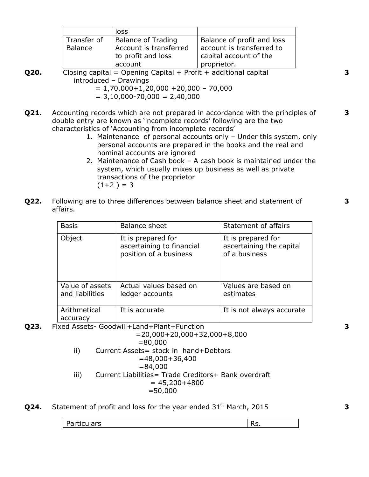|                | loss                      |                            |
|----------------|---------------------------|----------------------------|
| Transfer of    | <b>Balance of Trading</b> | Balance of profit and loss |
| <b>Balance</b> | Account is transferred    | account is transferred to  |
|                | to profit and loss        | capital account of the     |
|                | account                   | proprietor.                |

**Q20.** Closing capital = Opening Capital + Profit + additional capital introduced – Drawings

 $= 1,70,000 + 1,20,000 + 20,000 - 70,000$ 

 $= 3,10,000 - 70,000 = 2,40,000$ 

- **Q21.** Accounting records which are not prepared in accordance with the principles of double entry are known as 'incomplete records' following are the two characteristics of 'Accounting from incomplete records'
	- 1. Maintenance of personal accounts only Under this system, only personal accounts are prepared in the books and the real and nominal accounts are ignored
	- 2. Maintenance of Cash book A cash book is maintained under the system, which usually mixes up business as well as private transactions of the proprietor  $(1+2) = 3$
- **Q22.** Following are to three differences between balance sheet and statement of affairs.

| <b>Basis</b>                       | Balance sheet                                                                                        | Statement of affairs                                            |
|------------------------------------|------------------------------------------------------------------------------------------------------|-----------------------------------------------------------------|
| Object                             | It is prepared for<br>ascertaining to financial<br>position of a business                            | It is prepared for<br>ascertaining the capital<br>of a business |
| Value of assets<br>and liabilities | Actual values based on<br>ledger accounts                                                            | Values are based on<br>estimates                                |
| Arithmetical<br>accuracy           | It is accurate<br>$\sim$ 1. A second $\sim$ $\sim$ $\sim$ 1. The H second exhaustive France H second | It is not always accurate                                       |

**Q23.** Fixed Assets- Goodwill+Land+Plant+Function

 =20,000+20,000+32,000+8,000 =80,000 ii) Current Assets= stock in hand+Debtors =48,000+36,400 =84,000 iii) Current Liabilities= Trade Creditors+ Bank overdraft  $= 45,200+4800$ =50,000

**Q24.** Statement of profit and loss for the year ended  $31<sup>st</sup>$  March, 2015

| $\overline{\phantom{0}}$<br>-<br><u>Darticulare</u><br>Julai S<br>w.<br>. . |
|-----------------------------------------------------------------------------|
|-----------------------------------------------------------------------------|

**3**

**3**

**3**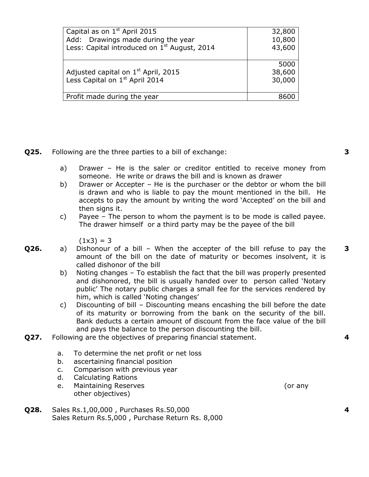| Capital as on 1 <sup>st</sup> April 2015                 | 32,800 |
|----------------------------------------------------------|--------|
| Add: Drawings made during the year                       | 10,800 |
| Less: Capital introduced on 1 <sup>st</sup> August, 2014 | 43,600 |
|                                                          |        |
|                                                          | 5000   |
| Adjusted capital on 1 <sup>st</sup> April, 2015          | 38,600 |
| Less Capital on 1 <sup>st</sup> April 2014               | 30,000 |
|                                                          |        |
| Profit made during the year                              |        |
|                                                          |        |

**Q25.** Following are the three parties to a bill of exchange:

- a) Drawer He is the saler or creditor entitled to receive money from someone. He write or draws the bill and is known as drawer
- b) Drawer or Accepter He is the purchaser or the debtor or whom the bill is drawn and who is liable to pay the mount mentioned in the bill. He accepts to pay the amount by writing the word 'Accepted' on the bill and then signs it.
- c) Payee The person to whom the payment is to be mode is called payee. The drawer himself or a third party may be the payee of the bill

 $(1x3) = 3$ 

- **Q26.** a) Dishonour of a bill When the accepter of the bill refuse to pay the amount of the bill on the date of maturity or becomes insolvent, it is called dishonor of the bill
	- b) Noting changes To establish the fact that the bill was properly presented and dishonored, the bill is usually handed over to person called 'Notary public' The notary public charges a small fee for the services rendered by him, which is called 'Noting changes'
	- c) Discounting of bill Discounting means encashing the bill before the date of its maturity or borrowing from the bank on the security of the bill. Bank deducts a certain amount of discount from the face value of the bill and pays the balance to the person discounting the bill.
- **Q27.** Following are the objectives of preparing financial statement.
	- a. To determine the net profit or net loss
	- b. ascertaining financial position
	- c. Comparison with previous year
	- d. Calculating Rations
	- e. Maintaining Reserves (or any other objectives)
- **Q28.** Sales Rs.1,00,000 , Purchases Rs.50,000 Sales Return Rs.5,000 , Purchase Return Rs. 8,000

**3**

**3**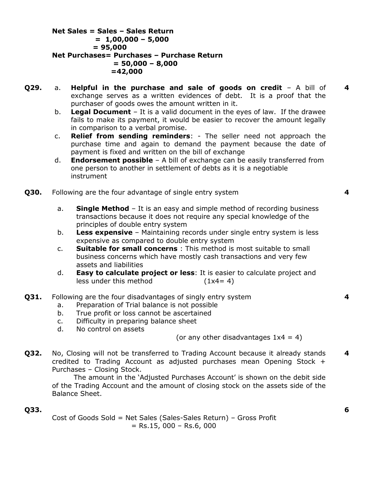**Net Sales = Sales – Sales Return = 1,00,000 – 5,000 = 95,000 Net Purchases= Purchases – Purchase Return = 50,000 – 8,000 =42,000**

- **Q29.** a. **Helpful in the purchase and sale of goods on credit** A bill of exchange serves as a written evidences of debt. It is a proof that the purchaser of goods owes the amount written in it.
	- b. **Legal Document** It is a valid document in the eyes of law. If the drawee fails to make its payment, it would be easier to recover the amount legally in comparison to a verbal promise.
	- c. **Relief from sending reminders**: The seller need not approach the purchase time and again to demand the payment because the date of payment is fixed and written on the bill of exchange
	- d. **Endorsement possible** A bill of exchange can be easily transferred from one person to another in settlement of debts as it is a negotiable instrument
- **Q30.** Following are the four advantage of single entry system
	- a. **Single Method** It is an easy and simple method of recording business transactions because it does not require any special knowledge of the principles of double entry system
	- b. **Less expensive** Maintaining records under single entry system is less expensive as compared to double entry system
	- c. **Suitable for small concerns** : This method is most suitable to small business concerns which have mostly cash transactions and very few assets and liabilities
	- d. **Easy to calculate project or less**: It is easier to calculate project and less under this method  $(1x4=4)$
- **Q31.** Following are the four disadvantages of singly entry system
	- a. Preparation of Trial balance is not possible
	- b. True profit or loss cannot be ascertained
	- c. Difficulty in preparing balance sheet
	- d. No control on assets

(or any other disadvantages  $1x4 = 4$ )

**Q32.** No, Closing will not be transferred to Trading Account because it already stands credited to Trading Account as adjusted purchases mean Opening Stock + Purchases – Closing Stock. **4**

The amount in the 'Adjusted Purchases Account' is shown on the debit side of the Trading Account and the amount of closing stock on the assets side of the Balance Sheet.

### **Q33.**

Cost of Goods Sold = Net Sales (Sales-Sales Return) – Gross Profit  $=$  Rs.15, 000 – Rs.6, 000

**4**

**4**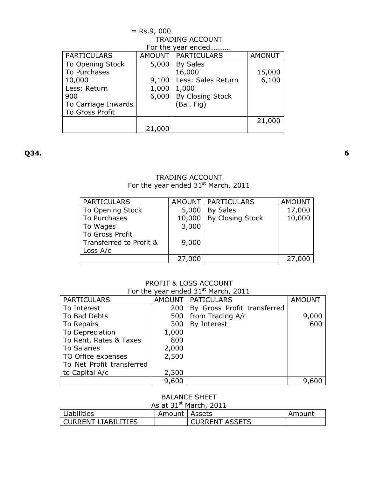| $=$ Rs.9, 000          |        |                      |               |  |
|------------------------|--------|----------------------|---------------|--|
| <b>TRADING ACCOUNT</b> |        |                      |               |  |
| For the year ended     |        |                      |               |  |
| <b>PARTICULARS</b>     |        | AMOUNT   PARTICULARS | <b>AMONUT</b> |  |
| To Opening Stock       | 5,000  | <b>By Sales</b>      |               |  |
| To Purchases           |        | 16,000               | 15,000        |  |
| 10,000                 | 9,100  | Less: Sales Return   | 6,100         |  |
| Less: Return           | 1,000  | 1,000                |               |  |
| 900                    | 6,000  | By Closing Stock     |               |  |
| To Carriage Inwards    |        | (Bal. Fig)           |               |  |
| <b>To Gross Profit</b> |        |                      |               |  |
|                        |        |                      | 21,000        |  |
|                        | 21,000 |                      |               |  |

**Q34.**

#### TRADING ACCOUNT For the year ended  $31<sup>st</sup>$  March, 2011

| <b>PARTICULARS</b>      |        | AMOUNT   PARTICULARS | <b>AMOUNT</b> |
|-------------------------|--------|----------------------|---------------|
| To Opening Stock        | 5,000  | <b>By Sales</b>      | 17,000        |
| To Purchases            | 10,000 | By Closing Stock     | 10,000        |
| To Wages                | 3,000  |                      |               |
| To Gross Profit         |        |                      |               |
| Transferred to Profit & | 9,000  |                      |               |
| Loss $A/c$              |        |                      |               |
|                         | 27,000 |                      | 27,000        |

# PROFIT & LOSS ACCOUNT

| For the year ended 31 <sup>st</sup> March, 2011 |       |                             |               |  |
|-------------------------------------------------|-------|-----------------------------|---------------|--|
| <b>PARTICULARS</b>                              |       | <b>AMOUNT   PATICULARS</b>  | <b>AMOUNT</b> |  |
| To Interest                                     | 200   | By Gross Profit transferred |               |  |
| To Bad Debts                                    | 500   | from Trading A/c            | 9,000         |  |
| To Repairs                                      | 300   | By Interest                 | 600           |  |
| To Depreciation                                 | 1,000 |                             |               |  |
| To Rent, Rates & Taxes                          | 800   |                             |               |  |
| <b>To Salaries</b>                              | 2,000 |                             |               |  |
| TO Office expenses                              | 2,500 |                             |               |  |
| To Net Profit transferred                       |       |                             |               |  |
| to Capital A/c                                  | 2,300 |                             |               |  |
|                                                 | 9,600 |                             |               |  |

## BALANCE SHEET

| As at $31^{st}$ March, 2011 |                 |                       |        |
|-----------------------------|-----------------|-----------------------|--------|
| <b>Liabilities</b>          | Amount   Assets |                       | Amount |
| <b>CURRENT LIABILITIES</b>  |                 | <b>CURRENT ASSETS</b> |        |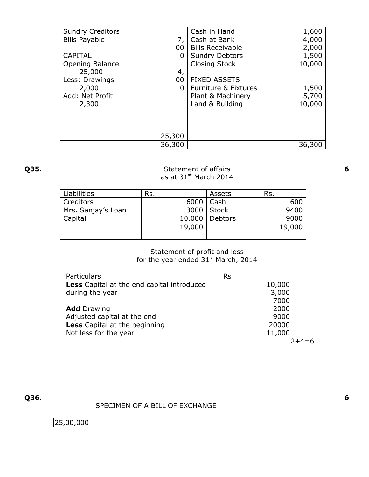| <b>Sundry Creditors</b> |        | Cash in Hand            | 1,600  |
|-------------------------|--------|-------------------------|--------|
| <b>Bills Payable</b>    | 7,     | Cash at Bank            | 4,000  |
|                         | 00     | <b>Bills Receivable</b> | 2,000  |
| <b>CAPITAL</b>          | 0      | <b>Sundry Debtors</b>   | 1,500  |
| <b>Opening Balance</b>  |        | <b>Closing Stock</b>    | 10,000 |
| 25,000                  | 4,     |                         |        |
| Less: Drawings          | 00     | <b>FIXED ASSETS</b>     |        |
| 2,000                   | 0      | Furniture & Fixtures    | 1,500  |
| Add: Net Profit         |        | Plant & Machinery       | 5,700  |
| 2,300                   |        | Land & Building         | 10,000 |
|                         |        |                         |        |
|                         |        |                         |        |
|                         |        |                         |        |
|                         | 25,300 |                         |        |
|                         | 36,300 |                         | 36,300 |

### **Q35.** Statement of affairs as at 31<sup>st</sup> March 2014

| <b>Liabilities</b> | Rs.    | Assets         | Rs.    |
|--------------------|--------|----------------|--------|
| Creditors          | 6000   | Cash           | 600    |
| Mrs. Sanjay's Loan | 3000   | Stock          | 9400   |
| Capital            | 10,000 | <b>Debtors</b> | 9000   |
|                    | 19,000 |                | 19,000 |
|                    |        |                |        |

### Statement of profit and loss for the year ended  $31<sup>st</sup>$  March, 2014

| Particulars                                       | <b>Rs</b> |
|---------------------------------------------------|-----------|
| <b>Less</b> Capital at the end capital introduced | 10,000    |
| during the year                                   | 3,000     |
|                                                   | 7000      |
| <b>Add</b> Drawing                                | 2000      |
| Adjusted capital at the end                       | 9000      |
| <b>Less</b> Capital at the beginning              | 20000     |
| Not less for the year                             | 11,000    |
|                                                   |           |

 $2+4=6$ 

**Q36.**

## SPECIMEN OF A BILL OF EXCHANGE